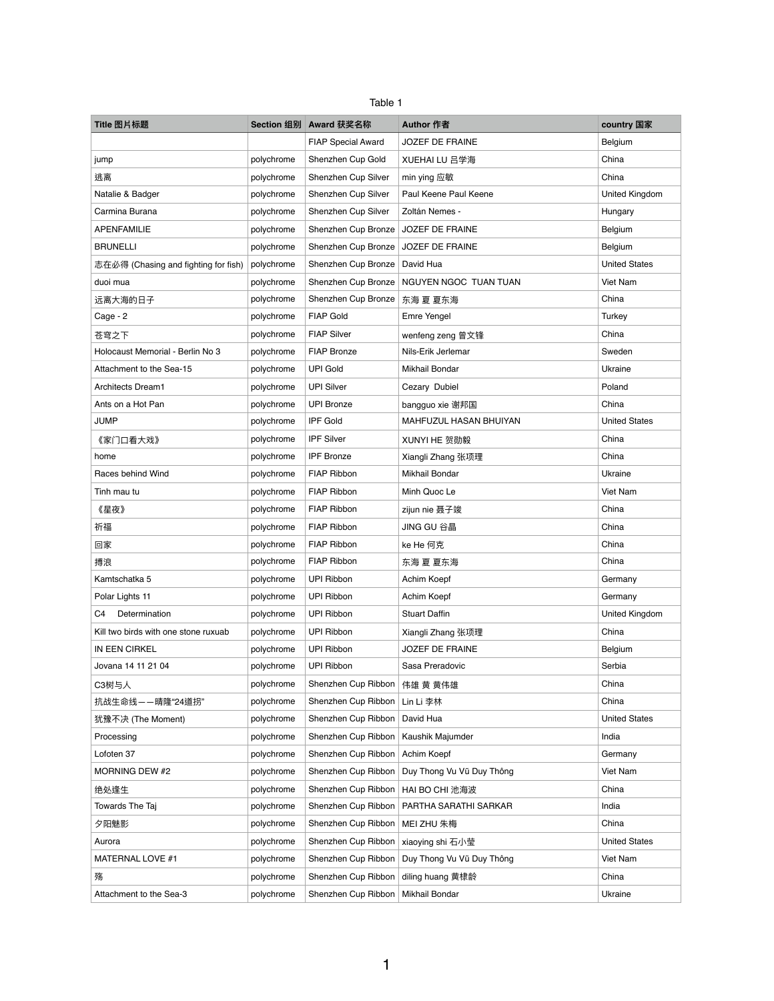| Table |  |
|-------|--|
|-------|--|

| Title 图片标题                           |            | Section 组别 Award 获奖名称                  | <b>Author 作者</b>          | country 国家           |
|--------------------------------------|------------|----------------------------------------|---------------------------|----------------------|
|                                      |            | <b>FIAP Special Award</b>              | <b>JOZEF DE FRAINE</b>    | Belgium              |
| jump                                 | polychrome | Shenzhen Cup Gold                      | XUEHAI LU 吕学海             | China                |
| 逃离                                   | polychrome | Shenzhen Cup Silver                    | min ying 应敏               | China                |
| Natalie & Badger                     | polychrome | Shenzhen Cup Silver                    | Paul Keene Paul Keene     | United Kingdom       |
| Carmina Burana                       | polychrome | Shenzhen Cup Silver                    | Zoltán Nemes -            | Hungary              |
| <b>APENFAMILIE</b>                   | polychrome | Shenzhen Cup Bronze                    | JOZEF DE FRAINE           | Belgium              |
| <b>BRUNELLI</b>                      | polychrome | Shenzhen Cup Bronze                    | JOZEF DE FRAINE           | Belgium              |
| 志在必得 (Chasing and fighting for fish) | polychrome | Shenzhen Cup Bronze                    | David Hua                 | <b>United States</b> |
| duoi mua                             | polychrome | Shenzhen Cup Bronze                    | NGUYEN NGOC TUAN TUAN     | Viet Nam             |
| 远离大海的日子                              | polychrome | Shenzhen Cup Bronze                    | 东海 夏 夏东海                  | China                |
| Cage - 2                             | polychrome | <b>FIAP Gold</b>                       | Emre Yengel               | <b>Turkey</b>        |
| 苍穹之下                                 | polychrome | <b>FIAP Silver</b>                     | wenfeng zeng 曾文锋          | China                |
| Holocaust Memorial - Berlin No 3     | polychrome | <b>FIAP Bronze</b>                     | Nils-Erik Jerlemar        | Sweden               |
| Attachment to the Sea-15             | polychrome | <b>UPI Gold</b>                        | Mikhail Bondar            | Ukraine              |
| Architects Dream1                    | polychrome | <b>UPI Silver</b>                      | Cezary Dubiel             | Poland               |
| Ants on a Hot Pan                    | polychrome | <b>UPI Bronze</b>                      | bangguo xie 谢邦国           | China                |
| <b>JUMP</b>                          | polychrome | <b>IPF Gold</b>                        | MAHFUZUL HASAN BHUIYAN    | <b>United States</b> |
| 《家门口看大戏》                             | polychrome | <b>IPF Silver</b>                      | XUNYI HE 贺勋毅              | China                |
| home                                 | polychrome | <b>IPF Bronze</b>                      | Xiangli Zhang 张项理         | China                |
| Races behind Wind                    | polychrome | FIAP Ribbon                            | Mikhail Bondar            | Ukraine              |
| Tinh mau tu                          | polychrome | FIAP Ribbon                            | Minh Quoc Le              | Viet Nam             |
| 《星夜》                                 | polychrome | FIAP Ribbon                            | zijun nie 聂子竣             | China                |
| 祈福                                   | polychrome | <b>FIAP Ribbon</b>                     | JING GU 谷晶                | China                |
| 回家                                   | polychrome | FIAP Ribbon                            | ke He 何克                  | China                |
| 搏浪                                   | polychrome | FIAP Ribbon                            | 东海 夏 夏东海                  | China                |
| Kamtschatka 5                        | polychrome | <b>UPI Ribbon</b>                      | Achim Koepf               | Germany              |
| Polar Lights 11                      | polychrome | <b>UPI Ribbon</b>                      | Achim Koepf               | Germany              |
| Determination<br>C4                  | polychrome | <b>UPI Ribbon</b>                      | <b>Stuart Daffin</b>      | United Kingdom       |
| Kill two birds with one stone ruxuab | polychrome | <b>UPI Ribbon</b>                      | Xiangli Zhang 张项理         | China                |
| IN EEN CIRKEL                        | polychrome | <b>UPI Ribbon</b>                      | <b>JOZEF DE FRAINE</b>    | Belgium              |
| Jovana 14 11 21 04                   | polychrome | <b>UPI Ribbon</b>                      | Sasa Preradovic           | Serbia               |
| C3树与人                                | polychrome | Shenzhen Cup Ribbon                    | 伟雄 黄 黄伟雄                  | China                |
| 抗战生命线——晴隆"24道拐"                      | polychrome | Shenzhen Cup Ribbon                    | Lin Li 李林                 | China                |
| 犹豫不决 (The Moment)                    | polychrome | Shenzhen Cup Ribbon                    | David Hua                 | <b>United States</b> |
| Processing                           | polychrome | Shenzhen Cup Ribbon                    | Kaushik Majumder          | India                |
| Lofoten 37                           | polychrome | Shenzhen Cup Ribbon                    | Achim Koepf               | Germany              |
| MORNING DEW #2                       | polychrome | Shenzhen Cup Ribbon                    | Duy Thong Vu Vũ Duy Thông | Viet Nam             |
| 绝处逢生                                 | polychrome | Shenzhen Cup Ribbon                    | HAI BO CHI 池海波            | China                |
| Towards The Taj                      | polychrome | Shenzhen Cup Ribbon                    | PARTHA SARATHI SARKAR     | India                |
| 夕阳魅影                                 | polychrome | Shenzhen Cup Ribbon                    | MEI ZHU 朱梅                | China                |
| Aurora                               | polychrome | Shenzhen Cup Ribbon   xiaoying shi 石小莹 |                           | <b>United States</b> |
| MATERNAL LOVE #1                     | polychrome | Shenzhen Cup Ribbon                    | Duy Thong Vu Vũ Duy Thông | Viet Nam             |
| 殇                                    | polychrome | Shenzhen Cup Ribbon                    | diling huang 黄棣龄          | China                |
| Attachment to the Sea-3              | polychrome | Shenzhen Cup Ribbon   Mikhail Bondar   |                           | Ukraine              |

1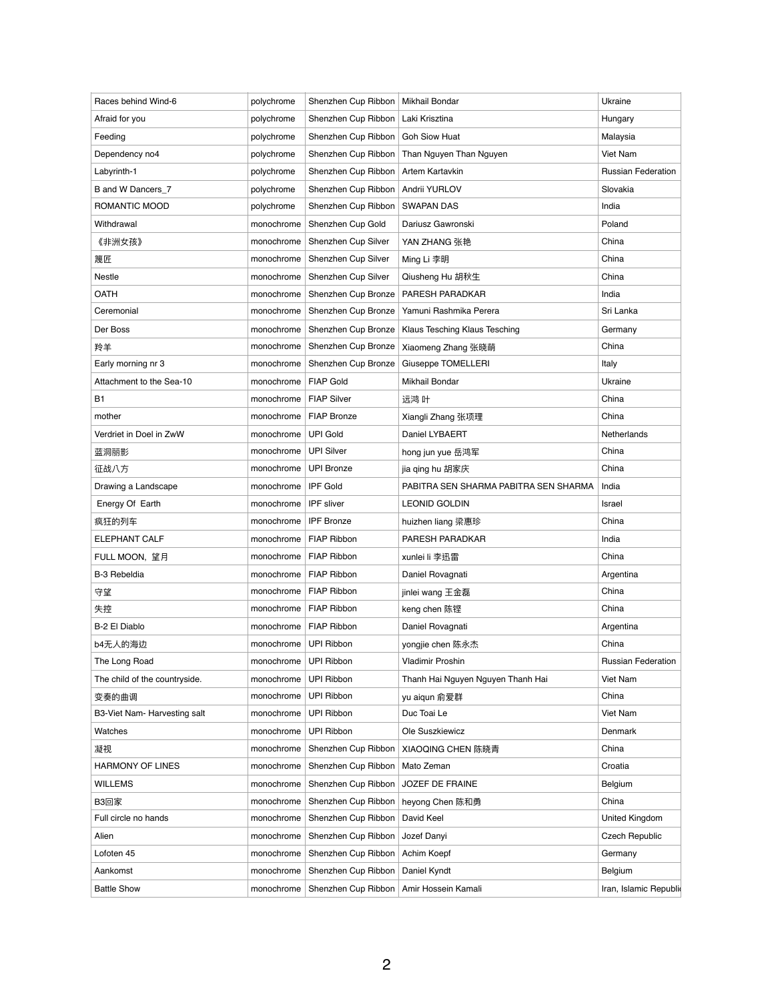| Races behind Wind-6           | polychrome | Shenzhen Cup Ribbon               | Mikhail Bondar                        | Ukraine                   |
|-------------------------------|------------|-----------------------------------|---------------------------------------|---------------------------|
| Afraid for you                | polychrome | Shenzhen Cup Ribbon               | Laki Krisztina                        | Hungary                   |
| Feeding                       | polychrome | Shenzhen Cup Ribbon               | <b>Goh Siow Huat</b>                  | Malaysia                  |
| Dependency no4                | polychrome | Shenzhen Cup Ribbon               | Than Nguyen Than Nguyen               | Viet Nam                  |
| Labyrinth-1                   | polychrome | Shenzhen Cup Ribbon               | Artem Kartavkin                       | <b>Russian Federation</b> |
| B and W Dancers_7             | polychrome | Shenzhen Cup Ribbon               | Andrii YURLOV                         | Slovakia                  |
| ROMANTIC MOOD                 | polychrome | Shenzhen Cup Ribbon               | <b>SWAPAN DAS</b>                     | India                     |
| Withdrawal                    | monochrome | Shenzhen Cup Gold                 | Dariusz Gawronski                     | Poland                    |
| 《非洲女孩》                        | monochrome | Shenzhen Cup Silver               | YAN ZHANG 张艳                          | China                     |
| 篾匠                            | monochrome | Shenzhen Cup Silver               | Ming Li 李明                            | China                     |
| Nestle                        | monochrome | Shenzhen Cup Silver               | Qiusheng Hu 胡秋生                       | China                     |
| <b>OATH</b>                   | monochrome | Shenzhen Cup Bronze               | PARESH PARADKAR                       | India                     |
| Ceremonial                    | monochrome | Shenzhen Cup Bronze               | Yamuni Rashmika Perera                | Sri Lanka                 |
| Der Boss                      | monochrome | Shenzhen Cup Bronze               | Klaus Tesching Klaus Tesching         | Germany                   |
| 羚羊                            | monochrome | Shenzhen Cup Bronze               | Xiaomeng Zhang 张晓萌                    | China                     |
| Early morning nr 3            | monochrome | Shenzhen Cup Bronze               | Giuseppe TOMELLERI                    | Italy                     |
| Attachment to the Sea-10      | monochrome | <b>FIAP Gold</b>                  | Mikhail Bondar                        | Ukraine                   |
| <b>B1</b>                     | monochrome | <b>FIAP Silver</b>                | 远鸿 叶                                  | China                     |
| mother                        | monochrome | <b>FIAP Bronze</b>                | Xiangli Zhang 张项理                     | China                     |
| Verdriet in Doel in ZwW       | monochrome | <b>UPI Gold</b>                   | Daniel LYBAERT                        | Netherlands               |
| 蓝洞丽影                          | monochrome | <b>UPI Silver</b>                 | hong jun yue 岳鸿军                      | China                     |
| 征战八方                          | monochrome | <b>UPI Bronze</b>                 | jia qing hu 胡家庆                       | China                     |
| Drawing a Landscape           | monochrome | <b>IPF Gold</b>                   | PABITRA SEN SHARMA PABITRA SEN SHARMA | India                     |
| Energy Of Earth               | monochrome | IPF sliver                        | <b>LEONID GOLDIN</b>                  | <b>Israel</b>             |
| 疯狂的列车                         | monochrome | <b>IPF Bronze</b>                 | huizhen liang 梁惠珍                     | China                     |
| <b>ELEPHANT CALF</b>          | monochrome | <b>FIAP Ribbon</b>                | PARESH PARADKAR                       | India                     |
| FULL MOON, 望月                 | monochrome | <b>FIAP Ribbon</b>                | xunlei li 李迅雷                         | China                     |
| <b>B-3 Rebeldia</b>           | monochrome | <b>FIAP Ribbon</b>                | Daniel Rovagnati                      | Argentina                 |
| 守望                            | monochrome | <b>FIAP Ribbon</b>                | jinlei wang 王金磊                       | China                     |
| 失控                            | monochrome | FIAP Ribbon                       | keng chen 陈铿                          | China                     |
| <b>B-2 El Diablo</b>          | monochrome | <b>FIAP Ribbon</b>                | Daniel Rovagnati                      | Argentina                 |
| b4无人的海边                       | monochrome | <b>UPI Ribbon</b>                 | yongjie chen 陈永杰                      | China                     |
| The Long Road                 | monochrome | <b>UPI Ribbon</b>                 | <b>Vladimir Proshin</b>               | <b>Russian Federation</b> |
| The child of the countryside. | monochrome | <b>UPI Ribbon</b>                 | Thanh Hai Nguyen Nguyen Thanh Hai     | Viet Nam                  |
| 变奏的曲调                         | monochrome | <b>UPI Ribbon</b>                 | yu aiqun 俞爱群                          | China                     |
| B3-Viet Nam- Harvesting salt  | monochrome | <b>UPI Ribbon</b>                 | Duc Toai Le                           | Viet Nam                  |
| Watches                       | monochrome | <b>UPI Ribbon</b>                 | Ole Suszkiewicz                       | Denmark                   |
| 凝视                            | monochrome | Shenzhen Cup Ribbon               | XIAOQING CHEN 陈晓青                     | China                     |
| <b>HARMONY OF LINES</b>       | monochrome | Shenzhen Cup Ribbon               | Mato Zeman                            | Croatia                   |
| <b>WILLEMS</b>                | monochrome | Shenzhen Cup Ribbon               | JOZEF DE FRAINE                       | Belgium                   |
| B3回家                          | monochrome | Shenzhen Cup Ribbon               | heyong Chen 陈和勇                       | China                     |
| Full circle no hands          | monochrome | Shenzhen Cup Ribbon               | David Keel                            | United Kingdom            |
| Alien                         | monochrome | Shenzhen Cup Ribbon               | Jozef Danyi                           | <b>Czech Republic</b>     |
| Lofoten 45                    | monochrome | Shenzhen Cup Ribbon   Achim Koepf |                                       | Germany                   |
| Aankomst                      | monochrome | Shenzhen Cup Ribbon               | Daniel Kyndt                          | Belgium                   |
| <b>Battle Show</b>            | monochrome | Shenzhen Cup Ribbon               | Amir Hossein Kamali                   | Iran, Islamic Republic    |